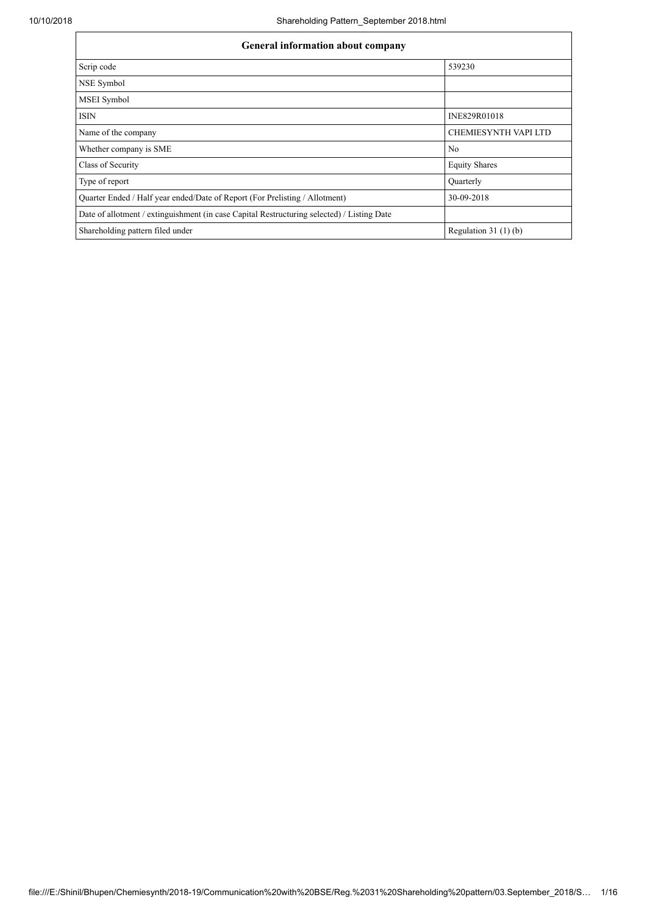| <b>General information about company</b>                                                   |                             |  |  |  |  |  |
|--------------------------------------------------------------------------------------------|-----------------------------|--|--|--|--|--|
| Scrip code                                                                                 | 539230                      |  |  |  |  |  |
| NSE Symbol                                                                                 |                             |  |  |  |  |  |
| <b>MSEI</b> Symbol                                                                         |                             |  |  |  |  |  |
| ISIN                                                                                       | INE829R01018                |  |  |  |  |  |
| Name of the company                                                                        | <b>CHEMIESYNTH VAPI LTD</b> |  |  |  |  |  |
| Whether company is SME                                                                     | No                          |  |  |  |  |  |
| Class of Security                                                                          | <b>Equity Shares</b>        |  |  |  |  |  |
| Type of report                                                                             | Quarterly                   |  |  |  |  |  |
| Quarter Ended / Half year ended/Date of Report (For Prelisting / Allotment)                | 30-09-2018                  |  |  |  |  |  |
| Date of allotment / extinguishment (in case Capital Restructuring selected) / Listing Date |                             |  |  |  |  |  |
| Shareholding pattern filed under                                                           | Regulation $31(1)(b)$       |  |  |  |  |  |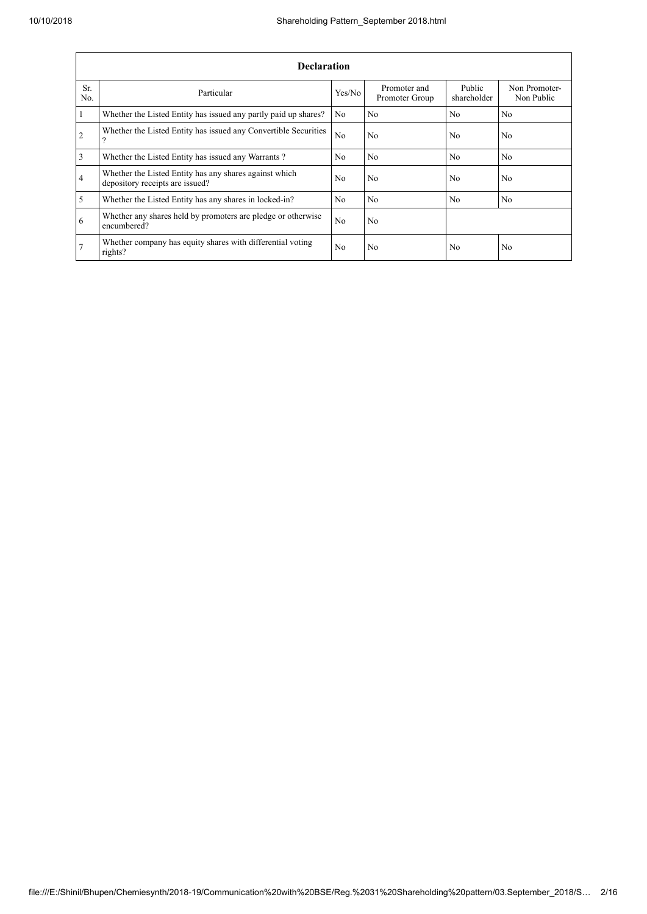|                | <b>Declaration</b>                                                                        |                |                                |                       |                             |  |  |  |  |
|----------------|-------------------------------------------------------------------------------------------|----------------|--------------------------------|-----------------------|-----------------------------|--|--|--|--|
| Sr.<br>No.     | Particular                                                                                | Yes/No         | Promoter and<br>Promoter Group | Public<br>shareholder | Non Promoter-<br>Non Public |  |  |  |  |
| 1              | Whether the Listed Entity has issued any partly paid up shares?                           | N <sub>0</sub> | N <sub>0</sub>                 | N <sub>o</sub>        | N <sub>0</sub>              |  |  |  |  |
| $\overline{2}$ | Whether the Listed Entity has issued any Convertible Securities<br>റ                      | No             | N <sub>0</sub>                 | N <sub>o</sub>        | No                          |  |  |  |  |
| 3              | Whether the Listed Entity has issued any Warrants?                                        | N <sub>0</sub> | N <sub>0</sub>                 | N <sub>0</sub>        | N <sub>0</sub>              |  |  |  |  |
| $\overline{4}$ | Whether the Listed Entity has any shares against which<br>depository receipts are issued? | N <sub>o</sub> | N <sub>0</sub>                 | N <sub>0</sub>        | No.                         |  |  |  |  |
| 5              | Whether the Listed Entity has any shares in locked-in?                                    | N <sub>0</sub> | N <sub>0</sub>                 | N <sub>0</sub>        | No.                         |  |  |  |  |
| 6              | Whether any shares held by promoters are pledge or otherwise<br>encumbered?               | N <sub>0</sub> | N <sub>0</sub>                 |                       |                             |  |  |  |  |
| 7              | Whether company has equity shares with differential voting<br>rights?                     | N <sub>0</sub> | N <sub>0</sub>                 | N <sub>0</sub>        | No                          |  |  |  |  |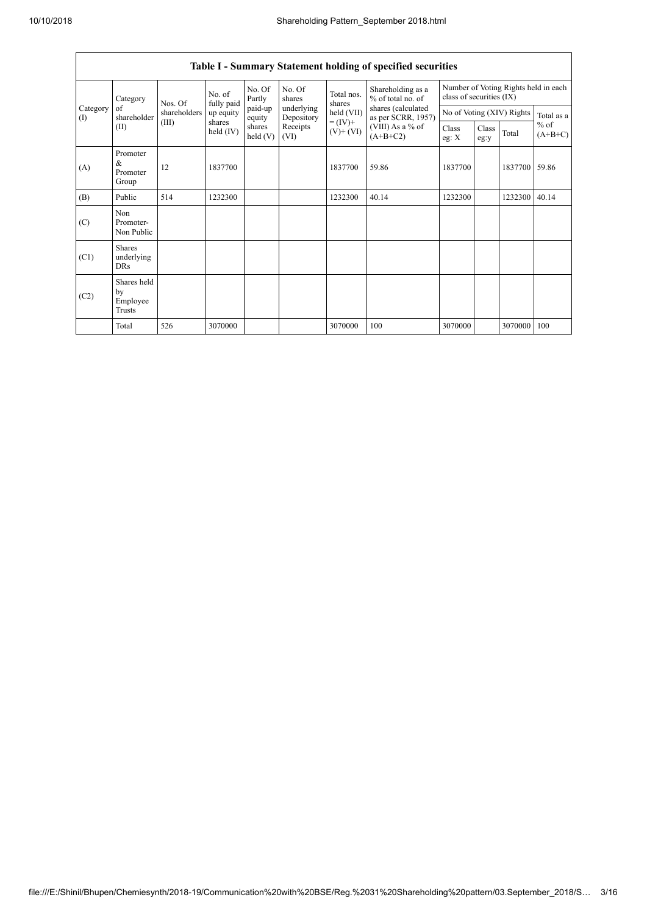$\overline{1}$ 

|                                                                                                                                                                                                                             |                                           |                  |                              |                                |                          |                      | Table I - Summary Statement holding of specified securities |                                                                  |  |                           |            |
|-----------------------------------------------------------------------------------------------------------------------------------------------------------------------------------------------------------------------------|-------------------------------------------|------------------|------------------------------|--------------------------------|--------------------------|----------------------|-------------------------------------------------------------|------------------------------------------------------------------|--|---------------------------|------------|
| No. Of<br>No. of<br>Partly<br>Category<br>fully paid<br>Nos. Of<br>Category<br>paid-up<br>of<br>shareholders<br>up equity<br>shareholder<br>equity<br>$\textcircled{1}$<br>(III)<br>shares<br>shares<br>(II)<br>held $(IV)$ |                                           |                  |                              |                                | No. Of<br>shares         | Total nos.<br>shares | Shareholding as a<br>% of total no. of                      | Number of Voting Rights held in each<br>class of securities (IX) |  |                           |            |
|                                                                                                                                                                                                                             |                                           |                  |                              |                                | underlying<br>Depository | held (VII)           | shares (calculated<br>as per SCRR, 1957)                    |                                                                  |  | No of Voting (XIV) Rights | Total as a |
|                                                                                                                                                                                                                             | held $(V)$                                | Receipts<br>(VI) | $= (IV) +$<br>$(V)$ + $(VI)$ | (VIII) As a % of<br>$(A+B+C2)$ | Class<br>eg: $X$         | Class<br>eg:y        | Total                                                       | $%$ of<br>$(A+B+C)$                                              |  |                           |            |
| (A)                                                                                                                                                                                                                         | Promoter<br>&<br>Promoter<br>Group        | 12               | 1837700                      |                                |                          | 1837700              | 59.86                                                       | 1837700                                                          |  | 1837700                   | 59.86      |
| (B)                                                                                                                                                                                                                         | Public                                    | 514              | 1232300                      |                                |                          | 1232300              | 40.14                                                       | 1232300                                                          |  | 1232300                   | 40.14      |
| (C)                                                                                                                                                                                                                         | Non<br>Promoter-<br>Non Public            |                  |                              |                                |                          |                      |                                                             |                                                                  |  |                           |            |
| (C1)                                                                                                                                                                                                                        | <b>Shares</b><br>underlying<br><b>DRs</b> |                  |                              |                                |                          |                      |                                                             |                                                                  |  |                           |            |
| (C2)                                                                                                                                                                                                                        | Shares held<br>by<br>Employee<br>Trusts   |                  |                              |                                |                          |                      |                                                             |                                                                  |  |                           |            |
|                                                                                                                                                                                                                             | Total                                     | 526              | 3070000                      |                                |                          | 3070000              | 100                                                         | 3070000                                                          |  | 3070000                   | 100        |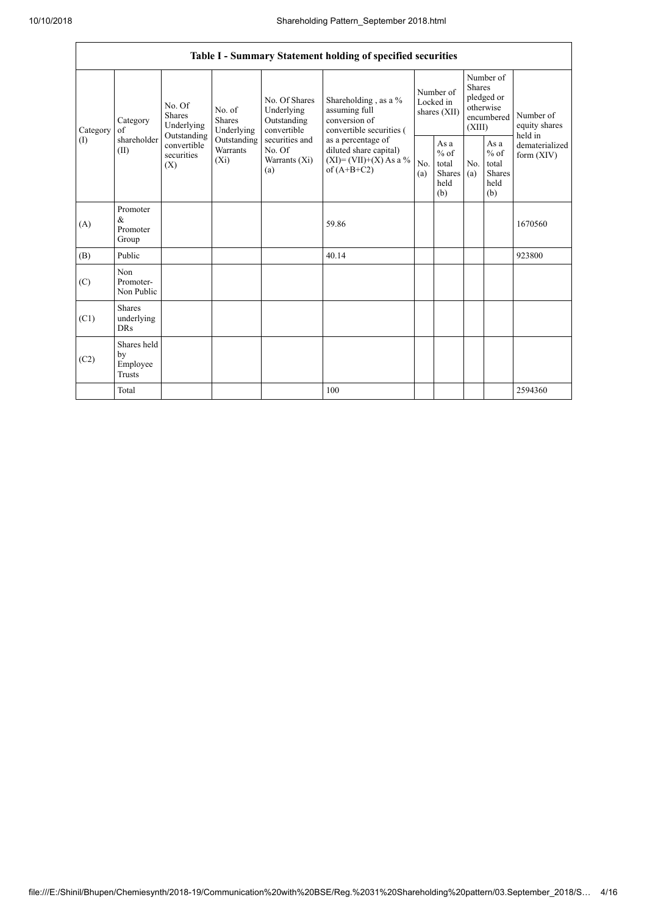|                 | Table I - Summary Statement holding of specified securities |                                       |                                                                                     |                                                                                                               |                                                                                                                                                                                  |                                        |                                                  |                                                                               |                                                         |                                       |  |
|-----------------|-------------------------------------------------------------|---------------------------------------|-------------------------------------------------------------------------------------|---------------------------------------------------------------------------------------------------------------|----------------------------------------------------------------------------------------------------------------------------------------------------------------------------------|----------------------------------------|--------------------------------------------------|-------------------------------------------------------------------------------|---------------------------------------------------------|---------------------------------------|--|
| Category<br>(1) | Category<br>of<br>shareholder<br>(II)<br>(X)                | No. Of<br><b>Shares</b><br>Underlying | No. of<br>Shares<br>Underlying<br>Outstanding<br>Outstanding<br>Warrants<br>$(X_i)$ | No. Of Shares<br>Underlying<br>Outstanding<br>convertible<br>securities and<br>No. Of<br>Warrants (Xi)<br>(a) | Shareholding, as a %<br>assuming full<br>conversion of<br>convertible securities (<br>as a percentage of<br>diluted share capital)<br>$(XI) = (VII)+(X) As a %$<br>of $(A+B+C2)$ | Number of<br>Locked in<br>shares (XII) |                                                  | Number of<br><b>Shares</b><br>pledged or<br>otherwise<br>encumbered<br>(XIII) |                                                         | Number of<br>equity shares<br>held in |  |
|                 |                                                             | convertible<br>securities             |                                                                                     |                                                                                                               |                                                                                                                                                                                  | No.<br>(a)                             | As a<br>$%$ of<br>total<br>Shares<br>held<br>(b) | N <sub>0</sub><br>(a)                                                         | As a<br>$%$ of<br>total<br><b>Shares</b><br>held<br>(b) | dematerialized<br>form $(XIV)$        |  |
| (A)             | Promoter<br>&<br>Promoter<br>Group                          |                                       |                                                                                     |                                                                                                               | 59.86                                                                                                                                                                            |                                        |                                                  |                                                                               |                                                         | 1670560                               |  |
| (B)             | Public                                                      |                                       |                                                                                     |                                                                                                               | 40.14                                                                                                                                                                            |                                        |                                                  |                                                                               |                                                         | 923800                                |  |
| (C)             | Non<br>Promoter-<br>Non Public                              |                                       |                                                                                     |                                                                                                               |                                                                                                                                                                                  |                                        |                                                  |                                                                               |                                                         |                                       |  |
| (C1)            | <b>Shares</b><br>underlying<br><b>DRs</b>                   |                                       |                                                                                     |                                                                                                               |                                                                                                                                                                                  |                                        |                                                  |                                                                               |                                                         |                                       |  |
| (C2)            | Shares held<br>by<br>Employee<br>Trusts                     |                                       |                                                                                     |                                                                                                               |                                                                                                                                                                                  |                                        |                                                  |                                                                               |                                                         |                                       |  |
|                 | Total                                                       |                                       |                                                                                     |                                                                                                               | 100                                                                                                                                                                              |                                        |                                                  |                                                                               |                                                         | 2594360                               |  |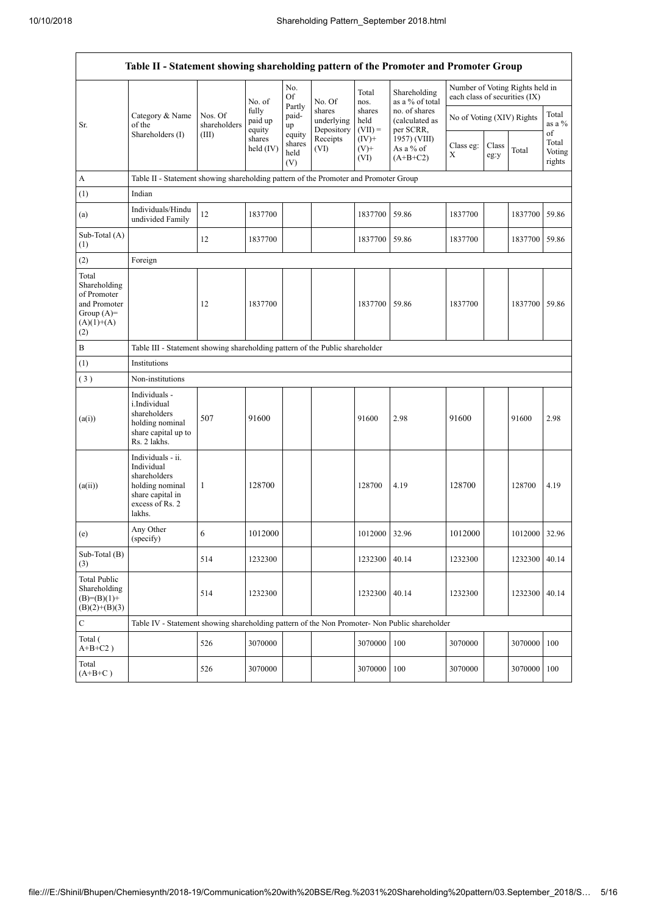|                                                                                             | Table II - Statement showing shareholding pattern of the Promoter and Promoter Group                                |                                                                              |                            |                                 |                                    |                             |                                                                                         |                                                                  |               |               |                           |
|---------------------------------------------------------------------------------------------|---------------------------------------------------------------------------------------------------------------------|------------------------------------------------------------------------------|----------------------------|---------------------------------|------------------------------------|-----------------------------|-----------------------------------------------------------------------------------------|------------------------------------------------------------------|---------------|---------------|---------------------------|
|                                                                                             |                                                                                                                     |                                                                              | No. of                     | No.<br><b>Of</b>                | No. Of                             | Total<br>nos.               | Shareholding<br>as a % of total                                                         | Number of Voting Rights held in<br>each class of securities (IX) |               |               |                           |
| Sr.                                                                                         | Category & Name<br>of the<br>Shareholders (I)                                                                       | Nos. Of<br>shareholders                                                      | fully<br>paid up<br>equity | Partly<br>paid-<br>up           | shares<br>underlying<br>Depository | shares<br>held<br>$(VII) =$ | no. of shares<br>(calculated as<br>per SCRR,<br>1957) (VIII)<br>As a % of<br>$(A+B+C2)$ | No of Voting (XIV) Rights                                        |               |               | Total<br>as a %<br>of     |
|                                                                                             |                                                                                                                     | (III)                                                                        | shares<br>held (IV)        | equity<br>shares<br>held<br>(V) | Receipts<br>(VI)                   | $(IV)+$<br>$(V)$ +<br>(VI)  |                                                                                         | Class eg:<br>X                                                   | Class<br>eg:y | Total         | Total<br>Voting<br>rights |
| A                                                                                           | Table II - Statement showing shareholding pattern of the Promoter and Promoter Group                                |                                                                              |                            |                                 |                                    |                             |                                                                                         |                                                                  |               |               |                           |
| (1)                                                                                         | Indian                                                                                                              |                                                                              |                            |                                 |                                    |                             |                                                                                         |                                                                  |               |               |                           |
| (a)                                                                                         | Individuals/Hindu<br>undivided Family                                                                               | 12                                                                           | 1837700                    |                                 |                                    | 1837700                     | 59.86                                                                                   | 1837700                                                          |               | 1837700 59.86 |                           |
| Sub-Total (A)<br>(1)                                                                        |                                                                                                                     | 12                                                                           | 1837700                    |                                 |                                    | 1837700                     | 59.86                                                                                   | 1837700                                                          |               | 1837700 59.86 |                           |
| (2)                                                                                         | Foreign                                                                                                             |                                                                              |                            |                                 |                                    |                             |                                                                                         |                                                                  |               |               |                           |
| Total<br>Shareholding<br>of Promoter<br>and Promoter<br>Group $(A)=$<br>$(A)(1)+(A)$<br>(2) |                                                                                                                     | 12                                                                           | 1837700                    |                                 |                                    | 1837700                     | 59.86                                                                                   | 1837700                                                          |               | 1837700 59.86 |                           |
| B                                                                                           |                                                                                                                     | Table III - Statement showing shareholding pattern of the Public shareholder |                            |                                 |                                    |                             |                                                                                         |                                                                  |               |               |                           |
| (1)                                                                                         | Institutions                                                                                                        |                                                                              |                            |                                 |                                    |                             |                                                                                         |                                                                  |               |               |                           |
| (3)                                                                                         | Non-institutions                                                                                                    |                                                                              |                            |                                 |                                    |                             |                                                                                         |                                                                  |               |               |                           |
| (a(i))                                                                                      | Individuals -<br>i.Individual<br>shareholders<br>holding nominal<br>share capital up to<br>Rs. 2 lakhs.             | 507                                                                          | 91600                      |                                 |                                    | 91600                       | 2.98                                                                                    | 91600                                                            |               | 91600         | 2.98                      |
| (a(ii))                                                                                     | Individuals - ii.<br>Individual<br>shareholders<br>holding nominal<br>share capital in<br>excess of Rs. 2<br>lakhs. | 1                                                                            | 128700                     |                                 |                                    | 128700                      | 4.19                                                                                    | 128700                                                           |               | 128700        | 4.19                      |
| (e)                                                                                         | Any Other<br>(specify)                                                                                              | 6                                                                            | 1012000                    |                                 |                                    | 1012000                     | 32.96                                                                                   | 1012000                                                          |               | 1012000 32.96 |                           |
| Sub-Total (B)<br>(3)                                                                        |                                                                                                                     | 514                                                                          | 1232300                    |                                 |                                    | 1232300                     | 40.14                                                                                   | 1232300                                                          |               | 1232300 40.14 |                           |
| <b>Total Public</b><br>Shareholding<br>$(B)=(B)(1)+$<br>$(B)(2)+(B)(3)$                     |                                                                                                                     | 514                                                                          | 1232300                    |                                 |                                    | 1232300                     | 40.14                                                                                   | 1232300                                                          |               | 1232300 40.14 |                           |
| $\mathbf C$                                                                                 | Table IV - Statement showing shareholding pattern of the Non Promoter- Non Public shareholder                       |                                                                              |                            |                                 |                                    |                             |                                                                                         |                                                                  |               |               |                           |
| Total (<br>$A+B+C2$ )                                                                       |                                                                                                                     | 526                                                                          | 3070000                    |                                 |                                    | 3070000                     | 100                                                                                     | 3070000                                                          |               | 3070000       | 100                       |
| Total<br>$(A+B+C)$                                                                          |                                                                                                                     | 526                                                                          | 3070000                    |                                 |                                    | 3070000                     | 100                                                                                     | 3070000                                                          |               | 3070000 100   |                           |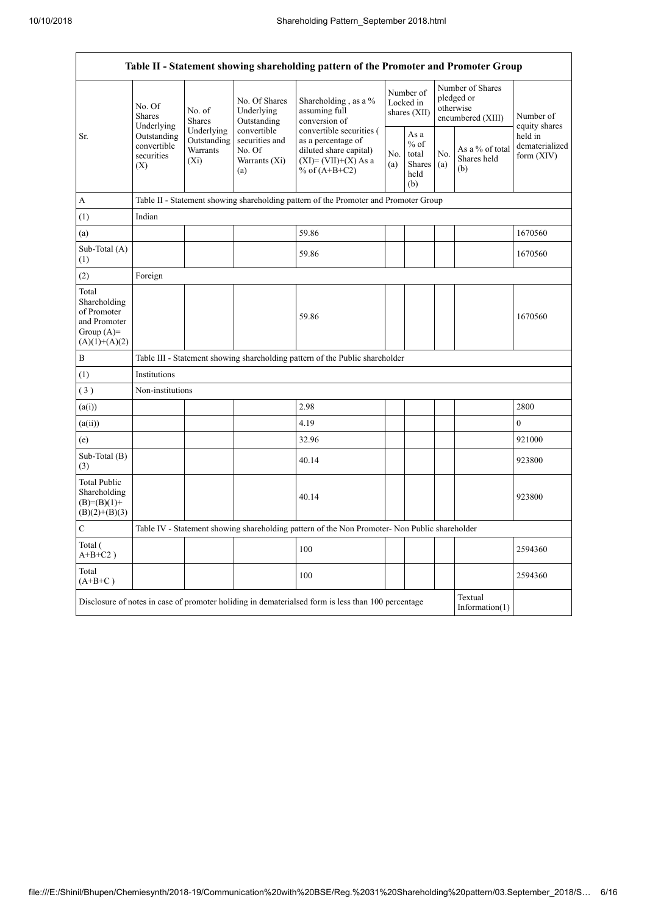| Table II - Statement showing shareholding pattern of the Promoter and Promoter Group    |                                                                                                                                    |                         |                                                                 |                                                                                                                        |            |                                                  |            |                                                                  |                                           |
|-----------------------------------------------------------------------------------------|------------------------------------------------------------------------------------------------------------------------------------|-------------------------|-----------------------------------------------------------------|------------------------------------------------------------------------------------------------------------------------|------------|--------------------------------------------------|------------|------------------------------------------------------------------|-------------------------------------------|
|                                                                                         | No. Of<br><b>Shares</b><br>Underlying                                                                                              | No. of<br><b>Shares</b> | No. Of Shares<br>Underlying<br>Outstanding                      | Shareholding, as a %<br>assuming full<br>conversion of                                                                 |            | Number of<br>Locked in<br>shares (XII)           |            | Number of Shares<br>pledged or<br>otherwise<br>encumbered (XIII) | Number of<br>equity shares                |
| Sr.                                                                                     | Underlying<br>Outstanding<br>Outstanding<br>convertible<br><b>Warrants</b><br>securities<br>$(X_i)$<br>(X)                         |                         | convertible<br>securities and<br>No. Of<br>Warrants (Xi)<br>(a) | convertible securities (<br>as a percentage of<br>diluted share capital)<br>$(XI) = (VII)+(X) As a$<br>% of $(A+B+C2)$ | No.<br>(a) | As a<br>$%$ of<br>total<br>Shares<br>held<br>(b) | No.<br>(a) | As a % of total<br>Shares held<br>(b)                            | held in<br>dematerialized<br>form $(XIV)$ |
| $\mathbf{A}$                                                                            |                                                                                                                                    |                         |                                                                 | Table II - Statement showing shareholding pattern of the Promoter and Promoter Group                                   |            |                                                  |            |                                                                  |                                           |
| (1)                                                                                     | Indian                                                                                                                             |                         |                                                                 |                                                                                                                        |            |                                                  |            |                                                                  |                                           |
| (a)                                                                                     |                                                                                                                                    |                         |                                                                 | 59.86                                                                                                                  |            |                                                  |            |                                                                  | 1670560                                   |
| Sub-Total (A)<br>(1)                                                                    |                                                                                                                                    |                         |                                                                 | 59.86                                                                                                                  |            |                                                  |            |                                                                  | 1670560                                   |
| (2)                                                                                     | Foreign                                                                                                                            |                         |                                                                 |                                                                                                                        |            |                                                  |            |                                                                  |                                           |
| Total<br>Shareholding<br>of Promoter<br>and Promoter<br>Group $(A)=$<br>$(A)(1)+(A)(2)$ |                                                                                                                                    |                         |                                                                 | 59.86                                                                                                                  |            |                                                  |            |                                                                  | 1670560                                   |
| $\, {\bf B}$                                                                            |                                                                                                                                    |                         |                                                                 | Table III - Statement showing shareholding pattern of the Public shareholder                                           |            |                                                  |            |                                                                  |                                           |
| (1)                                                                                     | Institutions                                                                                                                       |                         |                                                                 |                                                                                                                        |            |                                                  |            |                                                                  |                                           |
| (3)                                                                                     | Non-institutions                                                                                                                   |                         |                                                                 |                                                                                                                        |            |                                                  |            |                                                                  |                                           |
| (a(i))                                                                                  |                                                                                                                                    |                         |                                                                 | 2.98                                                                                                                   |            |                                                  |            |                                                                  | 2800                                      |
| (a(ii))                                                                                 |                                                                                                                                    |                         |                                                                 | 4.19                                                                                                                   |            |                                                  |            |                                                                  | $\theta$                                  |
| (e)                                                                                     |                                                                                                                                    |                         |                                                                 | 32.96                                                                                                                  |            |                                                  |            |                                                                  | 921000                                    |
| Sub-Total (B)<br>(3)                                                                    |                                                                                                                                    |                         |                                                                 | 40.14                                                                                                                  |            |                                                  |            |                                                                  | 923800                                    |
| <b>Total Public</b><br>Shareholding<br>$(B)= (B)(1) +$<br>$(B)(2)+(B)(3)$               |                                                                                                                                    |                         |                                                                 | 40.14                                                                                                                  |            |                                                  |            |                                                                  | 923800                                    |
| $\mathbf C$                                                                             |                                                                                                                                    |                         |                                                                 | Table IV - Statement showing shareholding pattern of the Non Promoter- Non Public shareholder                          |            |                                                  |            |                                                                  |                                           |
| Total (<br>$A+B+C2$ )                                                                   |                                                                                                                                    |                         |                                                                 | 100                                                                                                                    |            |                                                  |            |                                                                  | 2594360                                   |
| Total<br>$(A+B+C)$                                                                      |                                                                                                                                    |                         |                                                                 | 100                                                                                                                    |            |                                                  |            |                                                                  | 2594360                                   |
|                                                                                         | Textual<br>Disclosure of notes in case of promoter holiding in dematerialsed form is less than 100 percentage<br>Information $(1)$ |                         |                                                                 |                                                                                                                        |            |                                                  |            |                                                                  |                                           |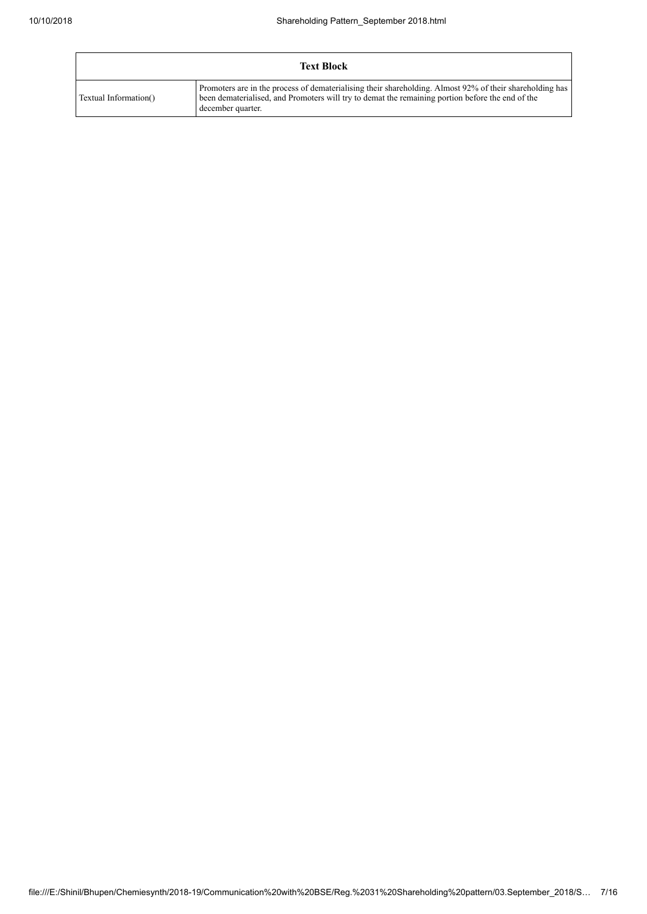| <b>Text Block</b>     |                                                                                                                                                                                                                                   |  |  |  |  |  |  |
|-----------------------|-----------------------------------------------------------------------------------------------------------------------------------------------------------------------------------------------------------------------------------|--|--|--|--|--|--|
| Textual Information() | Promoters are in the process of dematerialising their shareholding. Almost 92% of their shareholding has<br>been dematerialised, and Promoters will try to demat the remaining portion before the end of the<br>december quarter. |  |  |  |  |  |  |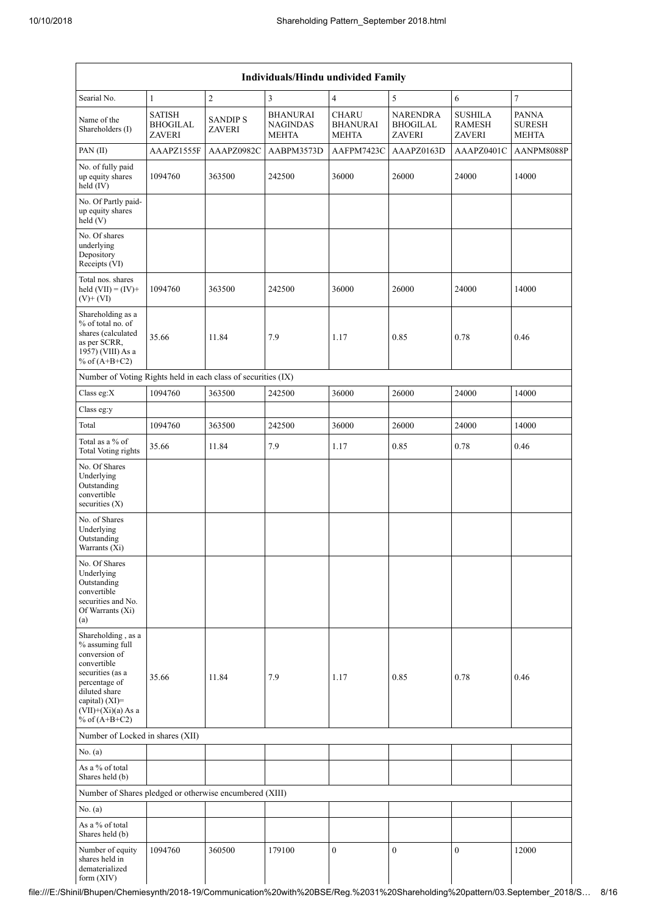|                                                                                                                                                                                          | Individuals/Hindu undivided Family                |                                 |                                                    |                                                 |                                                     |                                                  |                                               |  |  |
|------------------------------------------------------------------------------------------------------------------------------------------------------------------------------------------|---------------------------------------------------|---------------------------------|----------------------------------------------------|-------------------------------------------------|-----------------------------------------------------|--------------------------------------------------|-----------------------------------------------|--|--|
| Searial No.                                                                                                                                                                              | 1                                                 | $\overline{2}$                  | 3                                                  | $\overline{4}$                                  | 5                                                   | 6                                                | $\tau$                                        |  |  |
| Name of the<br>Shareholders (I)                                                                                                                                                          | <b>SATISH</b><br><b>BHOGILAL</b><br><b>ZAVERI</b> | <b>SANDIPS</b><br><b>ZAVERI</b> | <b>BHANURAI</b><br><b>NAGINDAS</b><br><b>MEHTA</b> | <b>CHARU</b><br><b>BHANURAI</b><br><b>MEHTA</b> | <b>NARENDRA</b><br><b>BHOGILAL</b><br><b>ZAVERI</b> | <b>SUSHILA</b><br><b>RAMESH</b><br><b>ZAVERI</b> | <b>PANNA</b><br><b>SURESH</b><br><b>MEHTA</b> |  |  |
| PAN(II)                                                                                                                                                                                  | AAAPZ1555F                                        | AAAPZ0982C                      | AABPM3573D                                         | AAFPM7423C                                      | AAAPZ0163D                                          | AAAPZ0401C                                       | AANPM8088P                                    |  |  |
| No. of fully paid<br>up equity shares<br>held (IV)                                                                                                                                       | 1094760                                           | 363500                          | 242500                                             | 36000                                           | 26000                                               | 24000                                            | 14000                                         |  |  |
| No. Of Partly paid-<br>up equity shares<br>held(V)                                                                                                                                       |                                                   |                                 |                                                    |                                                 |                                                     |                                                  |                                               |  |  |
| No. Of shares<br>underlying<br>Depository<br>Receipts (VI)                                                                                                                               |                                                   |                                 |                                                    |                                                 |                                                     |                                                  |                                               |  |  |
| Total nos. shares<br>held $(VII) = (IV) +$<br>$(V)$ + $(VI)$                                                                                                                             | 1094760                                           | 363500                          | 242500                                             | 36000                                           | 26000                                               | 24000                                            | 14000                                         |  |  |
| Shareholding as a<br>% of total no. of<br>shares (calculated<br>as per SCRR,<br>1957) (VIII) As a<br>% of $(A+B+C2)$                                                                     | 35.66                                             | 11.84                           | 7.9                                                | 1.17                                            | 0.85                                                | 0.78                                             | 0.46                                          |  |  |
| Number of Voting Rights held in each class of securities (IX)                                                                                                                            |                                                   |                                 |                                                    |                                                 |                                                     |                                                  |                                               |  |  |
| Class eg:X                                                                                                                                                                               | 1094760                                           | 363500                          | 242500                                             | 36000                                           | 26000                                               | 24000                                            | 14000                                         |  |  |
| Class eg:y                                                                                                                                                                               |                                                   |                                 |                                                    |                                                 |                                                     |                                                  |                                               |  |  |
| Total                                                                                                                                                                                    | 1094760                                           | 363500                          | 242500                                             | 36000                                           | 26000                                               | 24000                                            | 14000                                         |  |  |
| Total as a % of<br><b>Total Voting rights</b>                                                                                                                                            | 35.66                                             | 11.84                           | 7.9                                                | 1.17                                            | 0.85                                                | 0.78                                             | 0.46                                          |  |  |
| No. Of Shares<br>Underlying<br>Outstanding<br>convertible<br>securities $(X)$                                                                                                            |                                                   |                                 |                                                    |                                                 |                                                     |                                                  |                                               |  |  |
| No. of Shares<br>Underlying<br>Outstanding<br>Warrants (Xi)                                                                                                                              |                                                   |                                 |                                                    |                                                 |                                                     |                                                  |                                               |  |  |
| No. Of Shares<br>Underlying<br>Outstanding<br>convertible<br>securities and No.<br>Of Warrants (Xi)<br>(a)                                                                               |                                                   |                                 |                                                    |                                                 |                                                     |                                                  |                                               |  |  |
| Shareholding, as a<br>% assuming full<br>conversion of<br>convertible<br>securities (as a<br>percentage of<br>diluted share<br>capital) (XI)=<br>$(VII)+(Xi)(a)$ As a<br>% of $(A+B+C2)$ | 35.66                                             | 11.84                           | 7.9                                                | 1.17                                            | 0.85                                                | 0.78                                             | 0.46                                          |  |  |
| Number of Locked in shares (XII)                                                                                                                                                         |                                                   |                                 |                                                    |                                                 |                                                     |                                                  |                                               |  |  |
| No. (a)                                                                                                                                                                                  |                                                   |                                 |                                                    |                                                 |                                                     |                                                  |                                               |  |  |
| As a % of total<br>Shares held (b)                                                                                                                                                       |                                                   |                                 |                                                    |                                                 |                                                     |                                                  |                                               |  |  |
| Number of Shares pledged or otherwise encumbered (XIII)                                                                                                                                  |                                                   |                                 |                                                    |                                                 |                                                     |                                                  |                                               |  |  |
| No. $(a)$                                                                                                                                                                                |                                                   |                                 |                                                    |                                                 |                                                     |                                                  |                                               |  |  |
| As a % of total<br>Shares held (b)                                                                                                                                                       |                                                   |                                 |                                                    |                                                 |                                                     |                                                  |                                               |  |  |
| Number of equity<br>shares held in<br>dematerialized<br>form $(XIV)$                                                                                                                     | 1094760                                           | 360500                          | 179100                                             | $\mathbf{0}$                                    | $\boldsymbol{0}$                                    | $\mathbf{0}$                                     | 12000                                         |  |  |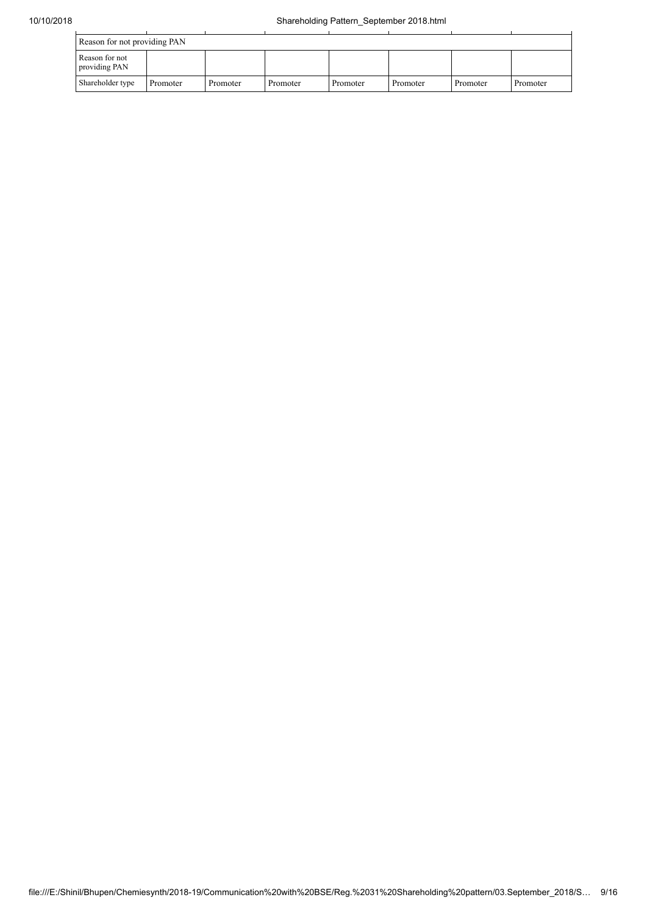| Reason for not providing PAN    |          |          |          |          |          |          |          |  |  |
|---------------------------------|----------|----------|----------|----------|----------|----------|----------|--|--|
| Reason for not<br>providing PAN |          |          |          |          |          |          |          |  |  |
| Shareholder type                | Promoter | Promoter | Promoter | Promoter | Promoter | Promoter | Promoter |  |  |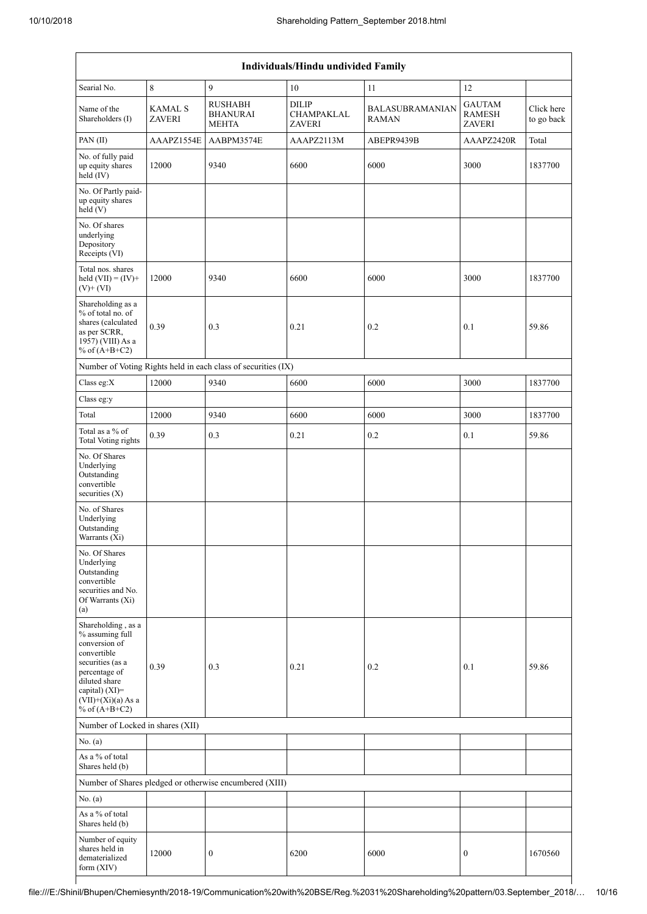| Individuals/Hindu undivided Family                                                                                                                                                       |                          |                                                         |                                                    |                                        |                                                 |                          |  |  |  |  |
|------------------------------------------------------------------------------------------------------------------------------------------------------------------------------------------|--------------------------|---------------------------------------------------------|----------------------------------------------------|----------------------------------------|-------------------------------------------------|--------------------------|--|--|--|--|
| Searial No.                                                                                                                                                                              | 8                        | 9                                                       | $10\,$                                             | 11                                     | 12                                              |                          |  |  |  |  |
| Name of the<br>Shareholders (I)                                                                                                                                                          | <b>KAMAL S</b><br>ZAVERI | <b>RUSHABH</b><br><b>BHANURAI</b><br><b>MEHTA</b>       | <b>DILIP</b><br><b>CHAMPAKLAL</b><br><b>ZAVERI</b> | <b>BALASUBRAMANIAN</b><br><b>RAMAN</b> | <b>GAUTAM</b><br><b>RAMESH</b><br><b>ZAVERI</b> | Click here<br>to go back |  |  |  |  |
| PAN(II)                                                                                                                                                                                  | AAAPZ1554E               | AABPM3574E                                              | AAAPZ2113M                                         | ABEPR9439B                             | AAAPZ2420R                                      | Total                    |  |  |  |  |
| No. of fully paid<br>up equity shares<br>held (IV)                                                                                                                                       | 12000                    | 9340                                                    | 6600                                               | 6000                                   | 3000                                            | 1837700                  |  |  |  |  |
| No. Of Partly paid-<br>up equity shares<br>held (V)                                                                                                                                      |                          |                                                         |                                                    |                                        |                                                 |                          |  |  |  |  |
| No. Of shares<br>underlying<br>Depository<br>Receipts (VI)                                                                                                                               |                          |                                                         |                                                    |                                        |                                                 |                          |  |  |  |  |
| Total nos, shares<br>held $(VII) = (IV) +$<br>$(V)$ + $(VI)$                                                                                                                             | 12000                    | 9340                                                    | 6600                                               | 6000                                   | 3000                                            | 1837700                  |  |  |  |  |
| Shareholding as a<br>% of total no. of<br>shares (calculated<br>as per SCRR,<br>1957) (VIII) As a<br>% of $(A+B+C2)$                                                                     | 0.39                     | 0.3                                                     | 0.21                                               | 0.2                                    | 0.1                                             | 59.86                    |  |  |  |  |
| Number of Voting Rights held in each class of securities (IX)                                                                                                                            |                          |                                                         |                                                    |                                        |                                                 |                          |  |  |  |  |
| Class eg: $X$                                                                                                                                                                            | 12000                    | 9340                                                    | 6600                                               | 6000                                   | 3000                                            | 1837700                  |  |  |  |  |
| Class eg:y                                                                                                                                                                               |                          |                                                         |                                                    |                                        |                                                 |                          |  |  |  |  |
| Total                                                                                                                                                                                    | 12000                    | 9340                                                    | 6600                                               | 6000                                   | 3000                                            | 1837700                  |  |  |  |  |
| Total as a % of<br><b>Total Voting rights</b>                                                                                                                                            | 0.39                     | 0.3                                                     | 0.21                                               | 0.2                                    | 0.1                                             | 59.86                    |  |  |  |  |
| No. Of Shares<br>Underlying<br>Outstanding<br>convertible<br>securities (X)                                                                                                              |                          |                                                         |                                                    |                                        |                                                 |                          |  |  |  |  |
| No. of Shares<br>Underlying<br>Outstanding<br>Warrants (Xi)                                                                                                                              |                          |                                                         |                                                    |                                        |                                                 |                          |  |  |  |  |
| No. Of Shares<br>Underlying<br>Outstanding<br>convertible<br>securities and No.<br>Of Warrants (Xi)<br>(a)                                                                               |                          |                                                         |                                                    |                                        |                                                 |                          |  |  |  |  |
| Shareholding, as a<br>% assuming full<br>conversion of<br>convertible<br>securities (as a<br>percentage of<br>diluted share<br>capital) (XI)=<br>$(VII)+(Xi)(a)$ As a<br>% of $(A+B+C2)$ | 0.39                     | 0.3                                                     | 0.21                                               | 0.2                                    | 0.1                                             | 59.86                    |  |  |  |  |
| Number of Locked in shares (XII)                                                                                                                                                         |                          |                                                         |                                                    |                                        |                                                 |                          |  |  |  |  |
| No. (a)                                                                                                                                                                                  |                          |                                                         |                                                    |                                        |                                                 |                          |  |  |  |  |
| As a % of total<br>Shares held (b)                                                                                                                                                       |                          |                                                         |                                                    |                                        |                                                 |                          |  |  |  |  |
|                                                                                                                                                                                          |                          | Number of Shares pledged or otherwise encumbered (XIII) |                                                    |                                        |                                                 |                          |  |  |  |  |
| No. (a)                                                                                                                                                                                  |                          |                                                         |                                                    |                                        |                                                 |                          |  |  |  |  |
| As a % of total<br>Shares held (b)                                                                                                                                                       |                          |                                                         |                                                    |                                        |                                                 |                          |  |  |  |  |
| Number of equity<br>shares held in<br>dematerialized<br>form (XIV)                                                                                                                       | 12000                    | $\boldsymbol{0}$                                        | 6200                                               | 6000                                   | $\boldsymbol{0}$                                | 1670560                  |  |  |  |  |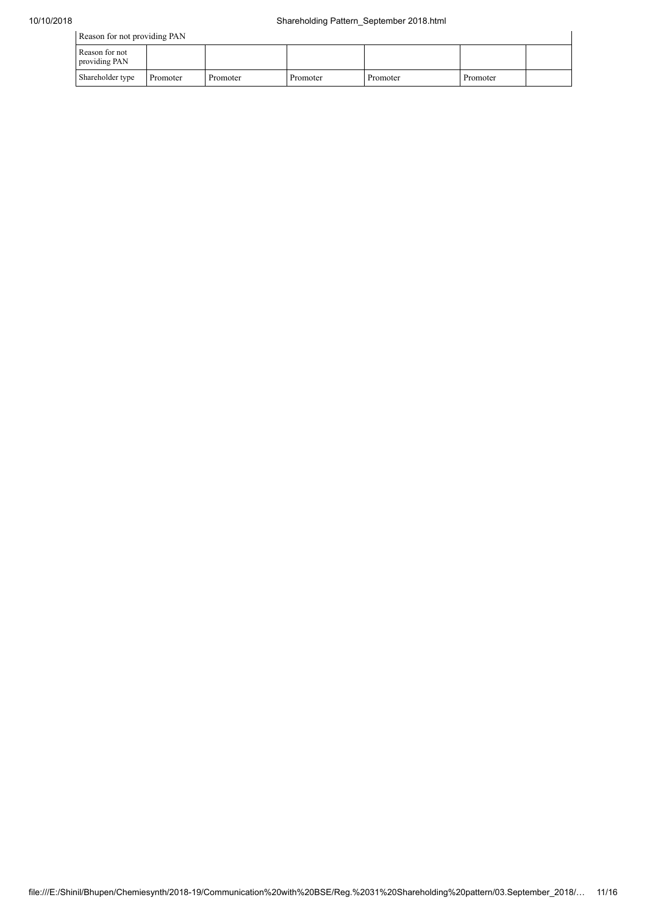| Reason for not providing PAN    |          |          |          |          |          |  |  |  |
|---------------------------------|----------|----------|----------|----------|----------|--|--|--|
| Reason for not<br>providing PAN |          |          |          |          |          |  |  |  |
| Shareholder type                | Promoter | Promoter | Promoter | Promoter | Promoter |  |  |  |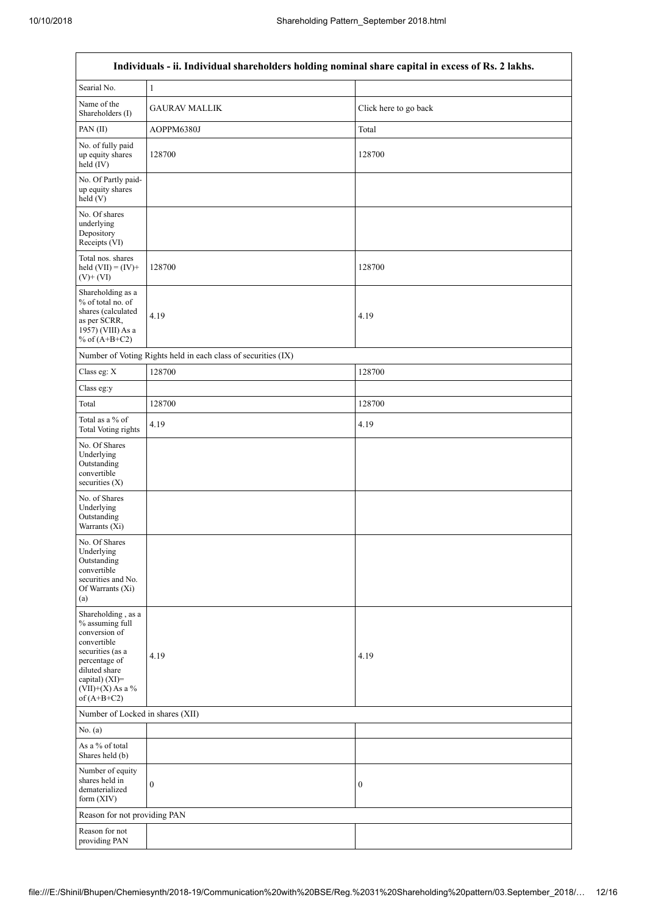$\overline{1}$ 

 $\overline{\mathsf{I}}$ 

|                                                                                                                                                                                         | Individuals - ii. Individual shareholders holding nominal share capital in excess of Rs. 2 lakhs. |                       |
|-----------------------------------------------------------------------------------------------------------------------------------------------------------------------------------------|---------------------------------------------------------------------------------------------------|-----------------------|
| Searial No.                                                                                                                                                                             | $\mathbf{1}$                                                                                      |                       |
| Name of the<br>Shareholders (I)                                                                                                                                                         | <b>GAURAV MALLIK</b>                                                                              | Click here to go back |
| PAN(II)                                                                                                                                                                                 | AOPPM6380J                                                                                        | Total                 |
| No. of fully paid<br>up equity shares<br>held (IV)                                                                                                                                      | 128700                                                                                            | 128700                |
| No. Of Partly paid-<br>up equity shares<br>held(V)                                                                                                                                      |                                                                                                   |                       |
| No. Of shares<br>underlying<br>Depository<br>Receipts (VI)                                                                                                                              |                                                                                                   |                       |
| Total nos. shares<br>held $(VII) = (IV) +$<br>$(V) + (VI)$                                                                                                                              | 128700                                                                                            | 128700                |
| Shareholding as a<br>% of total no. of<br>shares (calculated<br>as per SCRR,<br>1957) (VIII) As a<br>% of $(A+B+C2)$                                                                    | 4.19                                                                                              | 4.19                  |
|                                                                                                                                                                                         | Number of Voting Rights held in each class of securities (IX)                                     |                       |
| Class eg: X                                                                                                                                                                             | 128700                                                                                            | 128700                |
| Class eg:y                                                                                                                                                                              |                                                                                                   |                       |
| Total                                                                                                                                                                                   | 128700                                                                                            | 128700                |
| Total as a % of<br>Total Voting rights                                                                                                                                                  | 4.19                                                                                              | 4.19                  |
| No. Of Shares<br>Underlying<br>Outstanding<br>convertible<br>securities (X)                                                                                                             |                                                                                                   |                       |
| No. of Shares<br>Underlying<br>Outstanding<br>Warrants (Xi)                                                                                                                             |                                                                                                   |                       |
| No. Of Shares<br>Underlying<br>Outstanding<br>convertible<br>securities and No.<br>Of Warrants (Xi)<br>(a)                                                                              |                                                                                                   |                       |
| Shareholding, as a<br>% assuming full<br>conversion of<br>convertible<br>securities (as a<br>percentage of<br>diluted share<br>capital) $(XI)$ =<br>$(VII)+(X)$ As a %<br>of $(A+B+C2)$ | 4.19                                                                                              | 4.19                  |
| Number of Locked in shares (XII)                                                                                                                                                        |                                                                                                   |                       |
| No. (a)                                                                                                                                                                                 |                                                                                                   |                       |
| As a % of total<br>Shares held (b)                                                                                                                                                      |                                                                                                   |                       |
| Number of equity<br>shares held in<br>dematerialized<br>form $(XIV)$                                                                                                                    | $\boldsymbol{0}$                                                                                  | $\boldsymbol{0}$      |
| Reason for not providing PAN                                                                                                                                                            |                                                                                                   |                       |
| Reason for not<br>providing PAN                                                                                                                                                         |                                                                                                   |                       |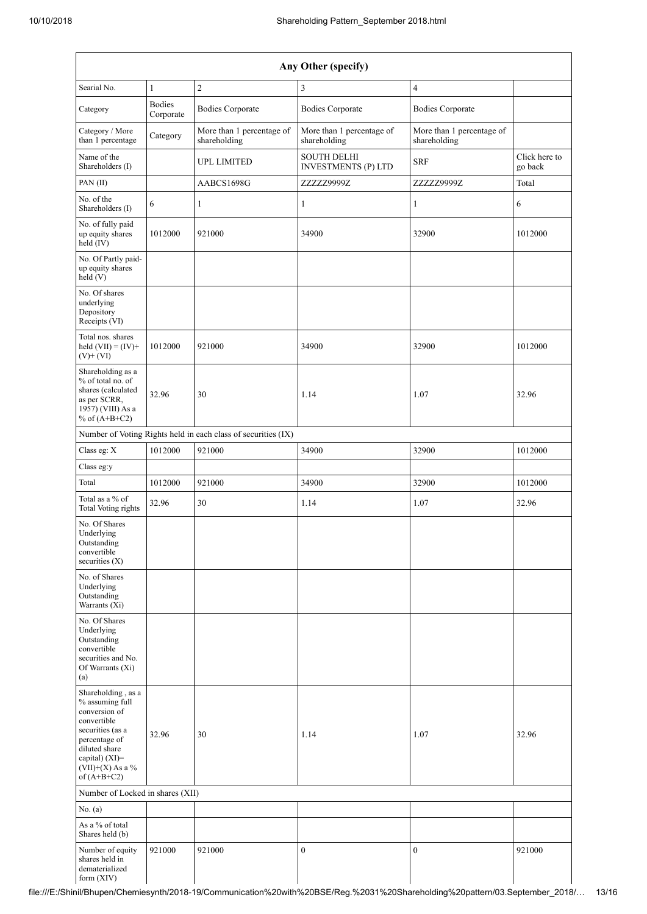| Any Other (specify)                                                                                                                                                                  |                            |                                                               |                                                  |                                           |                          |  |
|--------------------------------------------------------------------------------------------------------------------------------------------------------------------------------------|----------------------------|---------------------------------------------------------------|--------------------------------------------------|-------------------------------------------|--------------------------|--|
| Searial No.                                                                                                                                                                          | $\mathbf{1}$               | $\sqrt{2}$                                                    | 3                                                | $\overline{4}$                            |                          |  |
| Category                                                                                                                                                                             | <b>Bodies</b><br>Corporate | <b>Bodies Corporate</b>                                       | <b>Bodies Corporate</b>                          | <b>Bodies Corporate</b>                   |                          |  |
| Category / More<br>than 1 percentage                                                                                                                                                 | Category                   | More than 1 percentage of<br>shareholding                     | More than 1 percentage of<br>shareholding        | More than 1 percentage of<br>shareholding |                          |  |
| Name of the<br>Shareholders (I)                                                                                                                                                      |                            | <b>UPL LIMITED</b>                                            | <b>SOUTH DELHI</b><br><b>INVESTMENTS (P) LTD</b> | <b>SRF</b>                                | Click here to<br>go back |  |
| PAN(II)                                                                                                                                                                              |                            | AABCS1698G                                                    | ZZZZZ9999Z                                       | ZZZZZ9999Z                                | Total                    |  |
| No. of the<br>Shareholders (I)                                                                                                                                                       | 6                          | $\mathbf{1}$                                                  | $\mathbf{1}$                                     | 1                                         | 6                        |  |
| No. of fully paid<br>up equity shares<br>held $(V)$                                                                                                                                  | 1012000                    | 921000                                                        | 34900                                            | 32900                                     | 1012000                  |  |
| No. Of Partly paid-<br>up equity shares<br>held (V)                                                                                                                                  |                            |                                                               |                                                  |                                           |                          |  |
| No. Of shares<br>underlying<br>Depository<br>Receipts (VI)                                                                                                                           |                            |                                                               |                                                  |                                           |                          |  |
| Total nos. shares<br>held $(VII) = (IV) +$<br>$(V)$ + $(VI)$                                                                                                                         | 1012000                    | 921000                                                        | 34900                                            | 32900                                     | 1012000                  |  |
| Shareholding as a<br>% of total no. of<br>shares (calculated<br>as per SCRR,<br>1957) (VIII) As a<br>% of $(A+B+C2)$                                                                 | 32.96                      | 30                                                            | 1.14                                             | 1.07                                      | 32.96                    |  |
|                                                                                                                                                                                      |                            | Number of Voting Rights held in each class of securities (IX) |                                                  |                                           |                          |  |
| Class eg: X                                                                                                                                                                          | 1012000                    | 921000                                                        | 34900                                            | 32900                                     | 1012000                  |  |
| Class eg:y                                                                                                                                                                           |                            |                                                               |                                                  |                                           |                          |  |
| Total                                                                                                                                                                                | 1012000                    | 921000                                                        | 34900                                            | 32900                                     | 1012000                  |  |
| Total as a % of<br><b>Total Voting rights</b>                                                                                                                                        | 32.96                      | 30                                                            | 1.14                                             | 1.07                                      | 32.96                    |  |
| No. Of Shares<br>Underlying<br>Outstanding<br>convertible<br>securities $(X)$                                                                                                        |                            |                                                               |                                                  |                                           |                          |  |
| No. of Shares<br>Underlying<br>Outstanding<br>Warrants (Xi)                                                                                                                          |                            |                                                               |                                                  |                                           |                          |  |
| No. Of Shares<br>Underlying<br>Outstanding<br>convertible<br>securities and No.<br>Of Warrants (Xi)<br>(a)                                                                           |                            |                                                               |                                                  |                                           |                          |  |
| Shareholding, as a<br>% assuming full<br>conversion of<br>convertible<br>securities (as a<br>percentage of<br>diluted share<br>capital) (XI)=<br>$(VII)+(X)$ As a %<br>of $(A+B+C2)$ | 32.96                      | 30                                                            | 1.14                                             | 1.07                                      | 32.96                    |  |
| Number of Locked in shares (XII)                                                                                                                                                     |                            |                                                               |                                                  |                                           |                          |  |
| No. (a)                                                                                                                                                                              |                            |                                                               |                                                  |                                           |                          |  |
| As a % of total<br>Shares held (b)                                                                                                                                                   |                            |                                                               |                                                  |                                           |                          |  |
| Number of equity<br>shares held in<br>dematerialized<br>form (XIV)                                                                                                                   | 921000                     | 921000                                                        | $\mathbf{0}$                                     | $\mathbf{0}$                              | 921000                   |  |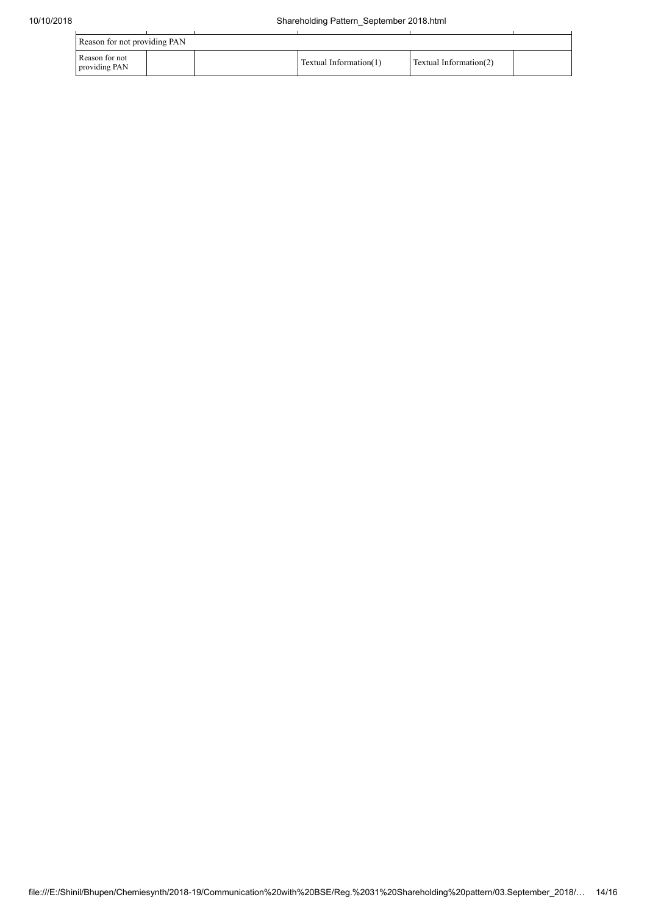| Reason for not providing PAN    |  |  |                        |                        |  |  |  |
|---------------------------------|--|--|------------------------|------------------------|--|--|--|
| Reason for not<br>providing PAN |  |  | Textual Information(1) | Textual Information(2) |  |  |  |